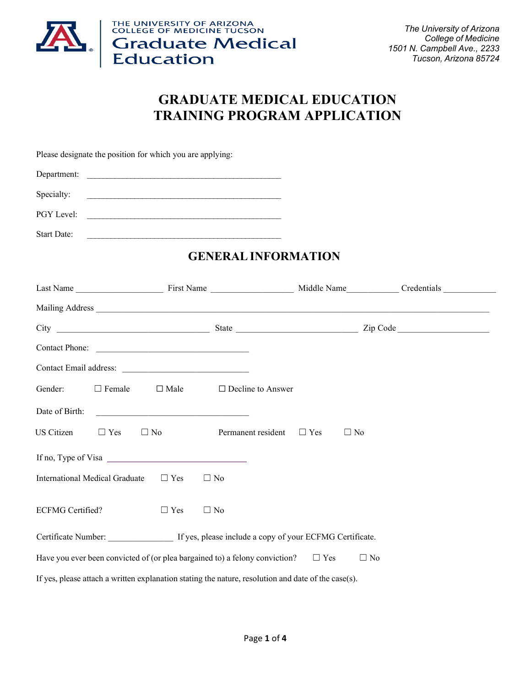

THE UNIVERSITY OF ARIZONA<br>COLLEGE OF MEDICINE TUCSON **Graduate Medical**<br>Education

*The University of Arizona College of Medicine 1501 N. Campbell Ave., 2233 Tucson, Arizona 85724*

# **GRADUATE MEDICAL EDUCATION TRAINING PROGRAM APPLICATION**

Please designate the position for which you are applying:

| Department: |  |
|-------------|--|
|             |  |
|             |  |

Specialty:  $\qquad \qquad$ 

PGY Level:

| <b>Start Date:</b> |  |
|--------------------|--|
|                    |  |

## **GENERALINFORMATION**

|                                                           |               | Contact Phone:                                                                                                                                                                                                                       |                                                                                                     |            |           |  |
|-----------------------------------------------------------|---------------|--------------------------------------------------------------------------------------------------------------------------------------------------------------------------------------------------------------------------------------|-----------------------------------------------------------------------------------------------------|------------|-----------|--|
|                                                           |               |                                                                                                                                                                                                                                      |                                                                                                     |            |           |  |
| Gender:                                                   | $\Box$ Female |                                                                                                                                                                                                                                      | $\Box$ Male $\Box$ Decline to Answer                                                                |            |           |  |
| Date of Birth:                                            |               | <u> 1989 - Johann Harry Harry Harry Harry Harry Harry Harry Harry Harry Harry Harry Harry Harry Harry Harry Harry Harry Harry Harry Harry Harry Harry Harry Harry Harry Harry Harry Harry Harry Harry Harry Harry Harry Harry Ha</u> |                                                                                                     |            |           |  |
| US Citizen                                                | $\Box$ Yes    | $\Box$ No                                                                                                                                                                                                                            | Permanent resident $\Box$ Yes                                                                       |            | $\Box$ No |  |
|                                                           |               |                                                                                                                                                                                                                                      |                                                                                                     |            |           |  |
| International Medical Graduate<br>$\Box$ Yes<br>$\Box$ No |               |                                                                                                                                                                                                                                      |                                                                                                     |            |           |  |
| <b>ECFMG</b> Certified?                                   |               | $\Box$ Yes                                                                                                                                                                                                                           | $\Box$ No                                                                                           |            |           |  |
|                                                           |               |                                                                                                                                                                                                                                      | Certificate Number: If yes, please include a copy of your ECFMG Certificate.                        |            |           |  |
|                                                           |               |                                                                                                                                                                                                                                      | Have you ever been convicted of (or plea bargained to) a felony conviction?                         | $\Box$ Yes | $\Box$ No |  |
|                                                           |               |                                                                                                                                                                                                                                      | If yes, please attach a written explanation stating the nature, resolution and date of the case(s). |            |           |  |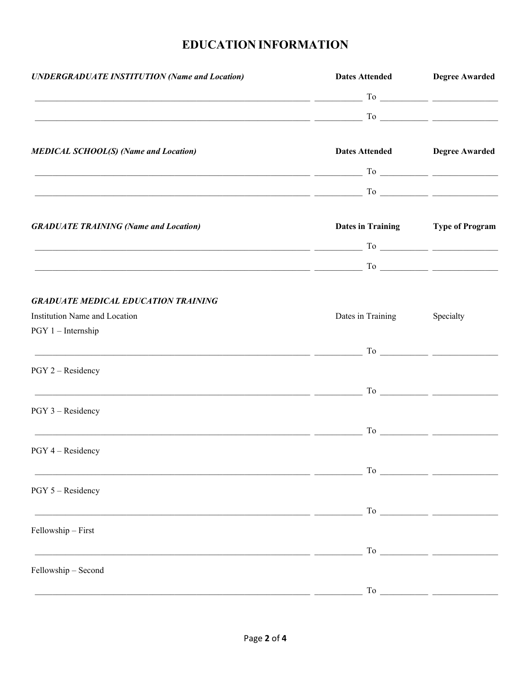# **EDUCATION INFORMATION**

| <b>UNDERGRADUATE INSTITUTION (Name and Location)</b>                                                                                                                                                                                                                                                                                                                                                                                                                            |                   | Dates Attended Degree Awarded     |
|---------------------------------------------------------------------------------------------------------------------------------------------------------------------------------------------------------------------------------------------------------------------------------------------------------------------------------------------------------------------------------------------------------------------------------------------------------------------------------|-------------------|-----------------------------------|
| $\overline{\phantom{a}}$ $\overline{\phantom{a}}$ $\overline{\phantom{a}}$ $\overline{\phantom{a}}$ $\overline{\phantom{a}}$ $\overline{\phantom{a}}$ $\overline{\phantom{a}}$ $\overline{\phantom{a}}$ $\overline{\phantom{a}}$ $\overline{\phantom{a}}$ $\overline{\phantom{a}}$ $\overline{\phantom{a}}$ $\overline{\phantom{a}}$ $\overline{\phantom{a}}$ $\overline{\phantom{a}}$ $\overline{\phantom{a}}$ $\overline{\phantom{a}}$ $\overline{\phantom{a}}$ $\overline{\$ |                   |                                   |
| $\overline{\phantom{a}}$ $\overline{\phantom{a}}$ $\overline{\phantom{a}}$ $\overline{\phantom{a}}$ $\overline{\phantom{a}}$ $\overline{\phantom{a}}$ $\overline{\phantom{a}}$ $\overline{\phantom{a}}$ $\overline{\phantom{a}}$ $\overline{\phantom{a}}$ $\overline{\phantom{a}}$ $\overline{\phantom{a}}$ $\overline{\phantom{a}}$ $\overline{\phantom{a}}$ $\overline{\phantom{a}}$ $\overline{\phantom{a}}$ $\overline{\phantom{a}}$ $\overline{\phantom{a}}$ $\overline{\$ |                   |                                   |
|                                                                                                                                                                                                                                                                                                                                                                                                                                                                                 |                   |                                   |
| <b>MEDICAL SCHOOL(S)</b> (Name and Location)                                                                                                                                                                                                                                                                                                                                                                                                                                    |                   | Dates Attended Degree Awarded     |
| $\overline{\phantom{a}}$ $\overline{\phantom{a}}$ $\overline{\phantom{a}}$ $\overline{\phantom{a}}$ $\overline{\phantom{a}}$ $\overline{\phantom{a}}$ $\overline{\phantom{a}}$ $\overline{\phantom{a}}$ $\overline{\phantom{a}}$ $\overline{\phantom{a}}$ $\overline{\phantom{a}}$ $\overline{\phantom{a}}$ $\overline{\phantom{a}}$ $\overline{\phantom{a}}$ $\overline{\phantom{a}}$ $\overline{\phantom{a}}$ $\overline{\phantom{a}}$ $\overline{\phantom{a}}$ $\overline{\$ |                   |                                   |
| $\overbrace{\hspace{2.5cm}}^{\text{To}}$ $\overbrace{\hspace{2.5cm}}^{\text{To}}$ $\overbrace{\hspace{2.5cm}}^{\text{To}}$                                                                                                                                                                                                                                                                                                                                                      |                   |                                   |
|                                                                                                                                                                                                                                                                                                                                                                                                                                                                                 |                   |                                   |
| <b>GRADUATE TRAINING (Name and Location)</b>                                                                                                                                                                                                                                                                                                                                                                                                                                    |                   | Dates in Training Type of Program |
|                                                                                                                                                                                                                                                                                                                                                                                                                                                                                 |                   |                                   |
| $\overline{\phantom{a}}$ $\overline{\phantom{a}}$ $\overline{\phantom{a}}$ $\overline{\phantom{a}}$ $\overline{\phantom{a}}$ $\overline{\phantom{a}}$ $\overline{\phantom{a}}$ $\overline{\phantom{a}}$ $\overline{\phantom{a}}$ $\overline{\phantom{a}}$ $\overline{\phantom{a}}$ $\overline{\phantom{a}}$ $\overline{\phantom{a}}$ $\overline{\phantom{a}}$ $\overline{\phantom{a}}$ $\overline{\phantom{a}}$ $\overline{\phantom{a}}$ $\overline{\phantom{a}}$ $\overline{\$ |                   |                                   |
|                                                                                                                                                                                                                                                                                                                                                                                                                                                                                 |                   |                                   |
| <b>GRADUATE MEDICAL EDUCATION TRAINING</b>                                                                                                                                                                                                                                                                                                                                                                                                                                      |                   |                                   |
| Institution Name and Location<br>$PGY 1$ – Internship                                                                                                                                                                                                                                                                                                                                                                                                                           | Dates in Training | Specialty                         |
|                                                                                                                                                                                                                                                                                                                                                                                                                                                                                 |                   |                                   |
| $\frac{1}{\sqrt{1-\frac{1}{2}}\cos\theta}$ $\frac{1}{\cos\theta}$ $\frac{1}{\cos\theta}$ $\frac{1}{\cos\theta}$ $\frac{1}{\cos\theta}$ $\frac{1}{\cos\theta}$ $\frac{1}{\cos\theta}$ $\frac{1}{\cos\theta}$ $\frac{1}{\cos\theta}$ $\frac{1}{\cos\theta}$ $\frac{1}{\cos\theta}$ $\frac{1}{\cos\theta}$ $\frac{1}{\cos\theta}$ $\frac{1}{\cos\theta}$ $\frac{1}{\cos\theta}$ $\frac{1}{\cos\theta}$ $\$                                                                         |                   |                                   |
| PGY 2 - Residency                                                                                                                                                                                                                                                                                                                                                                                                                                                               |                   |                                   |
|                                                                                                                                                                                                                                                                                                                                                                                                                                                                                 |                   |                                   |
| $PGY$ 3 – Residency                                                                                                                                                                                                                                                                                                                                                                                                                                                             |                   |                                   |
| $\frac{1}{\sqrt{1-\frac{1}{2}}\left(1-\frac{1}{2}\right)}$ $\frac{1}{\sqrt{1-\frac{1}{2}}\left(1-\frac{1}{2}\right)}$ $\frac{1}{\sqrt{1-\frac{1}{2}}\left(1-\frac{1}{2}\right)}$ $\frac{1}{\sqrt{1-\frac{1}{2}}\left(1-\frac{1}{2}\right)}$ $\frac{1}{\sqrt{1-\frac{1}{2}}\left(1-\frac{1}{2}\right)}$ $\frac{1}{\sqrt{1-\frac{1}{2}}\left(1-\frac{1}{2}\right)}$ $\frac{1}{\sqrt{1-\frac{1}{2}}\left(1-\frac{1}{2}\right$                                                      |                   |                                   |
| PGY 4 - Residency                                                                                                                                                                                                                                                                                                                                                                                                                                                               |                   |                                   |
|                                                                                                                                                                                                                                                                                                                                                                                                                                                                                 |                   |                                   |
| <u> 1989 - Jan Samuel Barbara, martin a shekara tsarinin mashrida a shekara tsarinin a shekara tsarinin a shekara</u>                                                                                                                                                                                                                                                                                                                                                           |                   |                                   |
| PGY 5 - Residency                                                                                                                                                                                                                                                                                                                                                                                                                                                               |                   |                                   |
|                                                                                                                                                                                                                                                                                                                                                                                                                                                                                 |                   | $\Gamma$ o                        |
| Fellowship - First                                                                                                                                                                                                                                                                                                                                                                                                                                                              |                   |                                   |
| <u> 1989 - Johann Stein, mars an deus Amerikaansk kommunister (* 1958)</u>                                                                                                                                                                                                                                                                                                                                                                                                      |                   |                                   |
| Fellowship - Second                                                                                                                                                                                                                                                                                                                                                                                                                                                             |                   |                                   |
|                                                                                                                                                                                                                                                                                                                                                                                                                                                                                 | To                |                                   |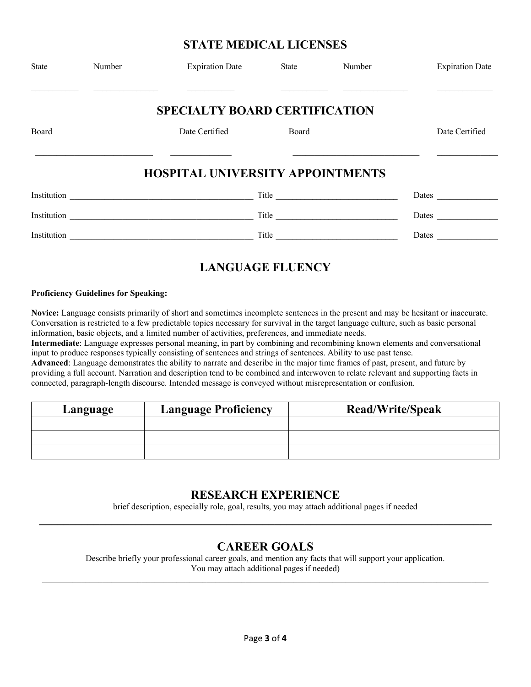### **STATE MEDICAL LICENSES**

| State | Number | <b>Expiration Date</b>                  | State | Number              | <b>Expiration Date</b> |
|-------|--------|-----------------------------------------|-------|---------------------|------------------------|
|       |        | <b>SPECIALTY BOARD CERTIFICATION</b>    |       |                     |                        |
| Board |        | Date Certified                          | Board |                     | Date Certified         |
|       |        | <b>HOSPITAL UNIVERSITY APPOINTMENTS</b> |       |                     |                        |
|       |        |                                         |       | Title               | <b>Dates</b> Dates     |
|       |        | Institution                             |       | Title               | Dates                  |
|       |        | Institution                             |       | Title $\frac{1}{2}$ | <b>Dates Dates</b>     |
|       |        |                                         |       |                     |                        |

## **LANGUAGE FLUENCY**

#### **Proficiency Guidelines for Speaking:**

**Novice:** Language consists primarily of short and sometimes incomplete sentences in the present and may be hesitant or inaccurate. Conversation is restricted to a few predictable topics necessary for survival in the target language culture, such as basic personal information, basic objects, and a limited number of activities, preferences, and immediate needs.

**Intermediate**: Language expresses personal meaning, in part by combining and recombining known elements and conversational input to produce responses typically consisting of sentences and strings of sentences. Ability to use past tense.

**Advanced**: Language demonstrates the ability to narrate and describe in the major time frames of past, present, and future by providing a full account. Narration and description tend to be combined and interwoven to relate relevant and supporting facts in connected, paragraph-length discourse. Intended message is conveyed without misrepresentation or confusion.

| Language | <b>Language Proficiency</b> | <b>Read/Write/Speak</b> |
|----------|-----------------------------|-------------------------|
|          |                             |                         |
|          |                             |                         |
|          |                             |                         |

### **RESEARCH EXPERIENCE**

brief description, especially role, goal, results, you may attach additional pages if needed **\_\_\_\_\_\_\_\_\_\_\_\_\_\_\_\_\_\_\_\_\_\_\_\_\_\_\_\_\_\_\_\_\_\_\_\_\_\_\_\_\_\_\_\_\_\_\_\_\_\_\_\_\_\_\_\_\_\_\_\_\_\_\_\_\_\_\_\_\_\_\_\_\_\_\_**

### **CAREER GOALS**

Describe briefly your professional career goals, and mention any facts that will support your application. You may attach additional pages if needed)  $\_$  ,  $\_$  ,  $\_$  ,  $\_$  ,  $\_$  ,  $\_$  ,  $\_$  ,  $\_$  ,  $\_$  ,  $\_$  ,  $\_$  ,  $\_$  ,  $\_$  ,  $\_$  ,  $\_$  ,  $\_$  ,  $\_$  ,  $\_$  ,  $\_$  ,  $\_$  ,  $\_$  ,  $\_$  ,  $\_$  ,  $\_$  ,  $\_$  ,  $\_$  ,  $\_$  ,  $\_$  ,  $\_$  ,  $\_$  ,  $\_$  ,  $\_$  ,  $\_$  ,  $\_$  ,  $\_$  ,  $\_$  ,  $\_$  ,